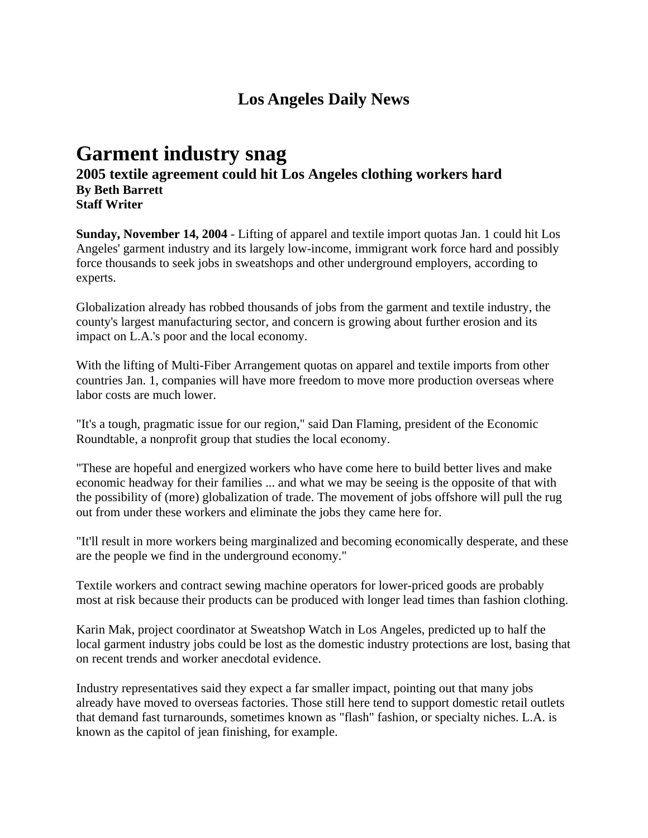## **Los Angeles Daily News**

## **Garment industry snag**

**2005 textile agreement could hit Los Angeles clothing workers hard By Beth Barrett Staff Writer**

**Sunday, November 14, 2004** - Lifting of apparel and textile import quotas Jan. 1 could hit Los Angeles' garment industry and its largely low-income, immigrant work force hard and possibly force thousands to seek jobs in sweatshops and other underground employers, according to experts.

Globalization already has robbed thousands of jobs from the garment and textile industry, the county's largest manufacturing sector, and concern is growing about further erosion and its impact on L.A.'s poor and the local economy.

With the lifting of Multi-Fiber Arrangement quotas on apparel and textile imports from other countries Jan. 1, companies will have more freedom to move more production overseas where labor costs are much lower.

"It's a tough, pragmatic issue for our region," said Dan Flaming, president of the Economic Roundtable, a nonprofit group that studies the local economy.

"These are hopeful and energized workers who have come here to build better lives and make economic headway for their families ... and what we may be seeing is the opposite of that with the possibility of (more) globalization of trade. The movement of jobs offshore will pull the rug out from under these workers and eliminate the jobs they came here for.

"It'll result in more workers being marginalized and becoming economically desperate, and these are the people we find in the underground economy."

Textile workers and contract sewing machine operators for lower-priced goods are probably most at risk because their products can be produced with longer lead times than fashion clothing.

Karin Mak, project coordinator at Sweatshop Watch in Los Angeles, predicted up to half the local garment industry jobs could be lost as the domestic industry protections are lost, basing that on recent trends and worker anecdotal evidence.

Industry representatives said they expect a far smaller impact, pointing out that many jobs already have moved to overseas factories. Those still here tend to support domestic retail outlets that demand fast turnarounds, sometimes known as "flash" fashion, or specialty niches. L.A. is known as the capitol of jean finishing, for example.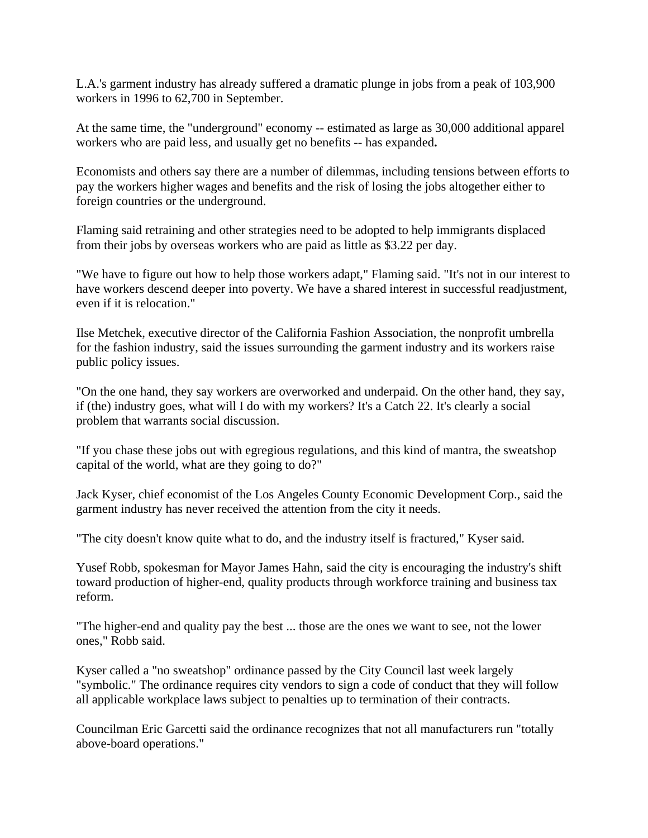L.A.'s garment industry has already suffered a dramatic plunge in jobs from a peak of 103,900 workers in 1996 to 62,700 in September.

At the same time, the "underground" economy -- estimated as large as 30,000 additional apparel workers who are paid less, and usually get no benefits -- has expanded**.**

Economists and others say there are a number of dilemmas, including tensions between efforts to pay the workers higher wages and benefits and the risk of losing the jobs altogether either to foreign countries or the underground.

Flaming said retraining and other strategies need to be adopted to help immigrants displaced from their jobs by overseas workers who are paid as little as \$3.22 per day.

"We have to figure out how to help those workers adapt," Flaming said. "It's not in our interest to have workers descend deeper into poverty. We have a shared interest in successful readjustment, even if it is relocation."

Ilse Metchek, executive director of the California Fashion Association, the nonprofit umbrella for the fashion industry, said the issues surrounding the garment industry and its workers raise public policy issues.

"On the one hand, they say workers are overworked and underpaid. On the other hand, they say, if (the) industry goes, what will I do with my workers? It's a Catch 22. It's clearly a social problem that warrants social discussion.

"If you chase these jobs out with egregious regulations, and this kind of mantra, the sweatshop capital of the world, what are they going to do?"

Jack Kyser, chief economist of the Los Angeles County Economic Development Corp., said the garment industry has never received the attention from the city it needs.

"The city doesn't know quite what to do, and the industry itself is fractured," Kyser said.

Yusef Robb, spokesman for Mayor James Hahn, said the city is encouraging the industry's shift toward production of higher-end, quality products through workforce training and business tax reform.

"The higher-end and quality pay the best ... those are the ones we want to see, not the lower ones," Robb said.

Kyser called a "no sweatshop" ordinance passed by the City Council last week largely "symbolic." The ordinance requires city vendors to sign a code of conduct that they will follow all applicable workplace laws subject to penalties up to termination of their contracts.

Councilman Eric Garcetti said the ordinance recognizes that not all manufacturers run "totally above-board operations."